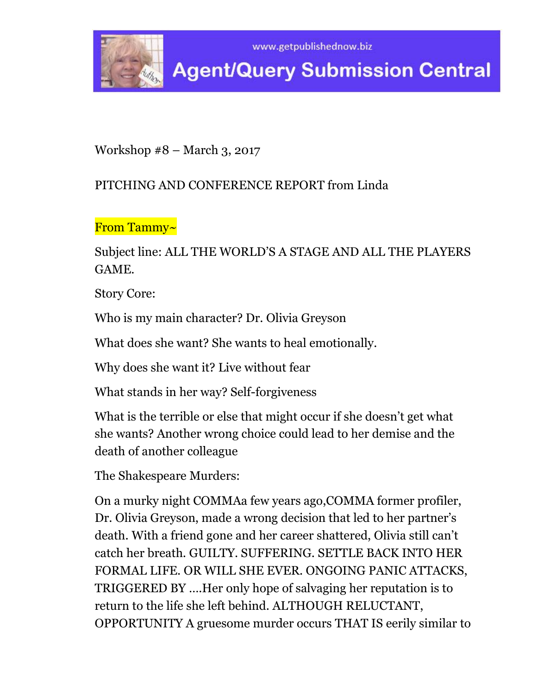



Workshop #8 – March 3, 2017

### PITCHING AND CONFERENCE REPORT from Linda

From Tammy~

Subject line: ALL THE WORLD'S A STAGE AND ALL THE PLAYERS GAME.

Story Core:

Who is my main character? Dr. Olivia Greyson

What does she want? She wants to heal emotionally.

Why does she want it? Live without fear

What stands in her way? Self-forgiveness

What is the terrible or else that might occur if she doesn't get what she wants? Another wrong choice could lead to her demise and the death of another colleague

The Shakespeare Murders:

On a murky night COMMAa few years ago,COMMA former profiler, Dr. Olivia Greyson, made a wrong decision that led to her partner's death. With a friend gone and her career shattered, Olivia still can't catch her breath. GUILTY. SUFFERING. SETTLE BACK INTO HER FORMAL LIFE. OR WILL SHE EVER. ONGOING PANIC ATTACKS, TRIGGERED BY ….Her only hope of salvaging her reputation is to return to the life she left behind. ALTHOUGH RELUCTANT, OPPORTUNITY A gruesome murder occurs THAT IS eerily similar to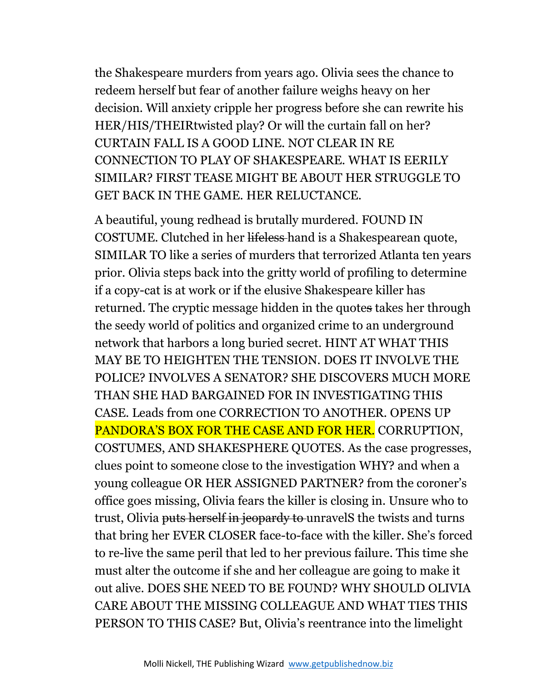the Shakespeare murders from years ago. Olivia sees the chance to redeem herself but fear of another failure weighs heavy on her decision. Will anxiety cripple her progress before she can rewrite his HER/HIS/THEIRtwisted play? Or will the curtain fall on her? CURTAIN FALL IS A GOOD LINE. NOT CLEAR IN RE CONNECTION TO PLAY OF SHAKESPEARE. WHAT IS EERILY SIMILAR? FIRST TEASE MIGHT BE ABOUT HER STRUGGLE TO GET BACK IN THE GAME. HER RELUCTANCE.

A beautiful, young redhead is brutally murdered. FOUND IN COSTUME. Clutched in her lifeless hand is a Shakespearean quote, SIMILAR TO like a series of murders that terrorized Atlanta ten years prior. Olivia steps back into the gritty world of profiling to determine if a copy-cat is at work or if the elusive Shakespeare killer has returned. The cryptic message hidden in the quotes takes her through the seedy world of politics and organized crime to an underground network that harbors a long buried secret. HINT AT WHAT THIS MAY BE TO HEIGHTEN THE TENSION. DOES IT INVOLVE THE POLICE? INVOLVES A SENATOR? SHE DISCOVERS MUCH MORE THAN SHE HAD BARGAINED FOR IN INVESTIGATING THIS CASE. Leads from one CORRECTION TO ANOTHER. OPENS UP PANDORA'S BOX FOR THE CASE AND FOR HER. CORRUPTION, COSTUMES, AND SHAKESPHERE QUOTES. As the case progresses, clues point to someone close to the investigation WHY? and when a young colleague OR HER ASSIGNED PARTNER? from the coroner's office goes missing, Olivia fears the killer is closing in. Unsure who to trust, Olivia puts herself in jeopardy to unravelS the twists and turns that bring her EVER CLOSER face-to-face with the killer. She's forced to re-live the same peril that led to her previous failure. This time she must alter the outcome if she and her colleague are going to make it out alive. DOES SHE NEED TO BE FOUND? WHY SHOULD OLIVIA CARE ABOUT THE MISSING COLLEAGUE AND WHAT TIES THIS PERSON TO THIS CASE? But, Olivia's reentrance into the limelight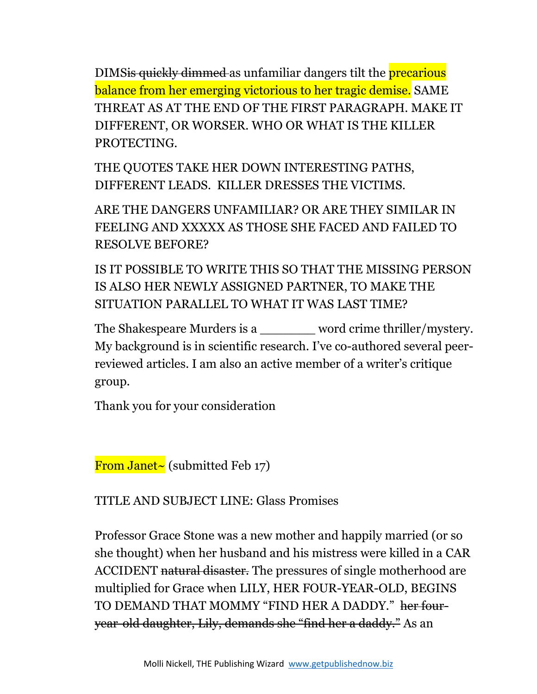DIMS<del>is quickly dimmed</del> as unfamiliar dangers tilt the **precarious** balance from her emerging victorious to her tragic demise. SAME THREAT AS AT THE END OF THE FIRST PARAGRAPH. MAKE IT DIFFERENT, OR WORSER. WHO OR WHAT IS THE KILLER PROTECTING.

THE QUOTES TAKE HER DOWN INTERESTING PATHS, DIFFERENT LEADS. KILLER DRESSES THE VICTIMS.

ARE THE DANGERS UNFAMILIAR? OR ARE THEY SIMILAR IN FEELING AND XXXXX AS THOSE SHE FACED AND FAILED TO RESOLVE BEFORE?

IS IT POSSIBLE TO WRITE THIS SO THAT THE MISSING PERSON IS ALSO HER NEWLY ASSIGNED PARTNER, TO MAKE THE SITUATION PARALLEL TO WHAT IT WAS LAST TIME?

The Shakespeare Murders is a word crime thriller/mystery. My background is in scientific research. I've co-authored several peerreviewed articles. I am also an active member of a writer's critique group.

Thank you for your consideration

From Janet~ (submitted Feb 17)

TITLE AND SUBJECT LINE: Glass Promises

Professor Grace Stone was a new mother and happily married (or so she thought) when her husband and his mistress were killed in a CAR ACCIDENT natural disaster. The pressures of single motherhood are multiplied for Grace when LILY, HER FOUR-YEAR-OLD, BEGINS TO DEMAND THAT MOMMY "FIND HER A DADDY." her fouryear-old daughter, Lily, demands she "find her a daddy." As an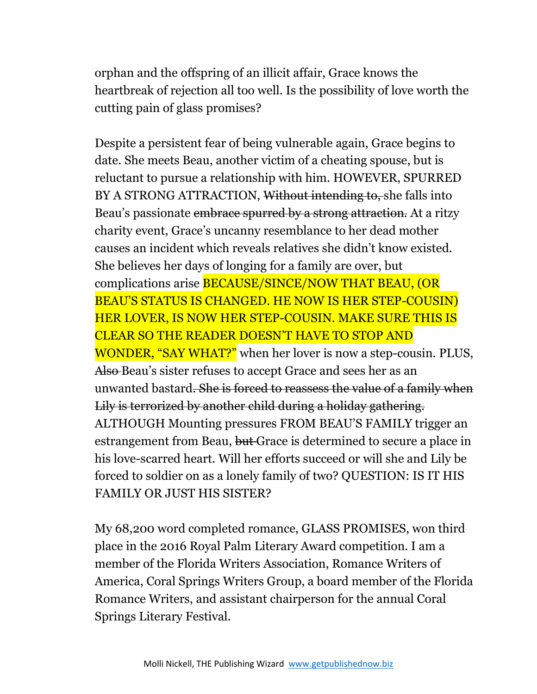orphan and the offspring of an illicit affair, Grace knows the heartbreak of rejection all too well. Is the possibility of love worth the cutting pain of glass promises?

Despite a persistent fear of being vulnerable again, Grace begins to date. She meets Beau, another victim of a cheating spouse, but is reluctant to pursue a relationship with him. HOWEVER, SPURRED BY A STRONG ATTRACTION, Without intending to, she falls into Beau's passionate embrace spurred by a strong attraction. At a ritzy charity event, Grace's uncanny resemblance to her dead mother causes an incident which reveals relatives she didn't know existed. She believes her days of longing for a family are over, but complications arise BECAUSE/SINCE/NOW THAT BEAU, (OR BEAU'S STATUS IS CHANGED. HE NOW IS HER STEP-COUSIN) HER LOVER, IS NOW HER STEP-COUSIN. MAKE SURE THIS IS CLEAR SO THE READER DOESN'T HAVE TO STOP AND WONDER, "SAY WHAT?" when her lover is now a step-cousin. PLUS, Also Beau's sister refuses to accept Grace and sees her as an unwanted bastard. She is forced to reassess the value of a family when Lily is terrorized by another child during a holiday gathering. ALTHOUGH Mounting pressures FROM BEAU'S FAMILY trigger an estrangement from Beau, but Grace is determined to secure a place in his love-scarred heart. Will her efforts succeed or will she and Lily be forced to soldier on as a lonely family of two? QUESTION: IS IT HIS FAMILY OR JUST HIS SISTER?

My 68,200 word completed romance, GLASS PROMISES, won third place in the 2016 Royal Palm Literary Award competition. I am a member of the Florida Writers Association, Romance Writers of America, Coral Springs Writers Group, a board member of the Florida Romance Writers, and assistant chairperson for the annual Coral Springs Literary Festival.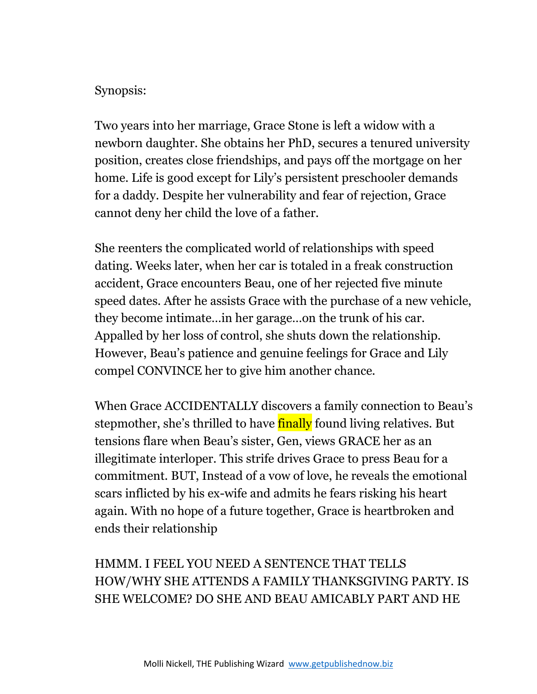#### Synopsis:

Two years into her marriage, Grace Stone is left a widow with a newborn daughter. She obtains her PhD, secures a tenured university position, creates close friendships, and pays off the mortgage on her home. Life is good except for Lily's persistent preschooler demands for a daddy. Despite her vulnerability and fear of rejection, Grace cannot deny her child the love of a father.

She reenters the complicated world of relationships with speed dating. Weeks later, when her car is totaled in a freak construction accident, Grace encounters Beau, one of her rejected five minute speed dates. After he assists Grace with the purchase of a new vehicle, they become intimate…in her garage…on the trunk of his car. Appalled by her loss of control, she shuts down the relationship. However, Beau's patience and genuine feelings for Grace and Lily compel CONVINCE her to give him another chance.

When Grace ACCIDENTALLY discovers a family connection to Beau's stepmother, she's thrilled to have finally found living relatives. But tensions flare when Beau's sister, Gen, views GRACE her as an illegitimate interloper. This strife drives Grace to press Beau for a commitment. BUT, Instead of a vow of love, he reveals the emotional scars inflicted by his ex-wife and admits he fears risking his heart again. With no hope of a future together, Grace is heartbroken and ends their relationship

HMMM. I FEEL YOU NEED A SENTENCE THAT TELLS HOW/WHY SHE ATTENDS A FAMILY THANKSGIVING PARTY. IS SHE WELCOME? DO SHE AND BEAU AMICABLY PART AND HE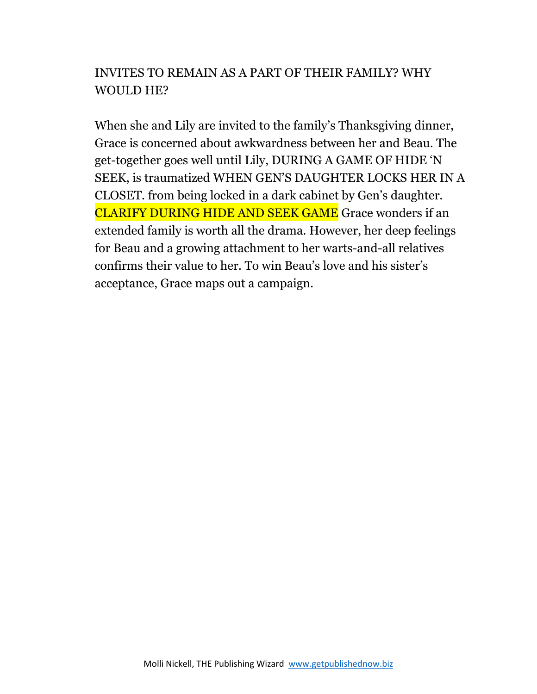# INVITES TO REMAIN AS A PART OF THEIR FAMILY? WHY WOULD HE?

When she and Lily are invited to the family's Thanksgiving dinner, Grace is concerned about awkwardness between her and Beau. The get-together goes well until Lily, DURING A GAME OF HIDE 'N SEEK, is traumatized WHEN GEN'S DAUGHTER LOCKS HER IN A CLOSET. from being locked in a dark cabinet by Gen's daughter. CLARIFY DURING HIDE AND SEEK GAME Grace wonders if an extended family is worth all the drama. However, her deep feelings for Beau and a growing attachment to her warts-and-all relatives confirms their value to her. To win Beau's love and his sister's acceptance, Grace maps out a campaign.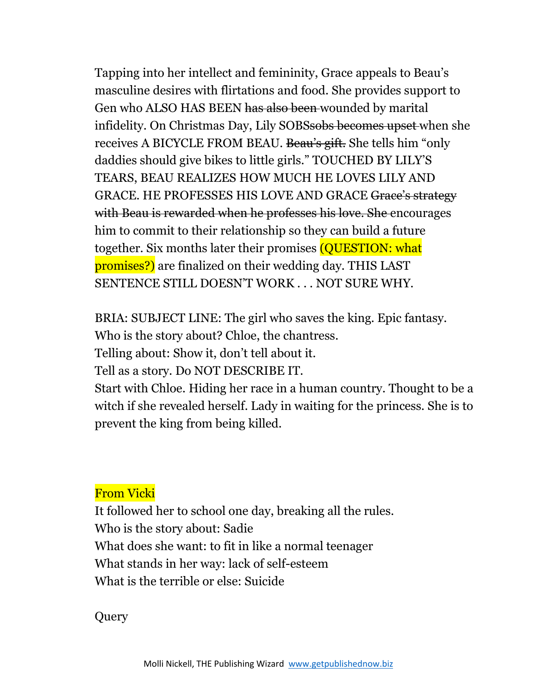Tapping into her intellect and femininity, Grace appeals to Beau's masculine desires with flirtations and food. She provides support to Gen who ALSO HAS BEEN has also been wounded by marital infidelity. On Christmas Day, Lily SOBSsobs becomes upset when she receives A BICYCLE FROM BEAU. Beau's gift. She tells him "only daddies should give bikes to little girls." TOUCHED BY LILY'S TEARS, BEAU REALIZES HOW MUCH HE LOVES LILY AND GRACE. HE PROFESSES HIS LOVE AND GRACE Grace's strategy with Beau is rewarded when he professes his love. She encourages him to commit to their relationship so they can build a future together. Six months later their promises (QUESTION: what promises?) are finalized on their wedding day. THIS LAST SENTENCE STILL DOESN'T WORK . . . NOT SURE WHY.

BRIA: SUBJECT LINE: The girl who saves the king. Epic fantasy.

Who is the story about? Chloe, the chantress.

Telling about: Show it, don't tell about it.

Tell as a story. Do NOT DESCRIBE IT.

Start with Chloe. Hiding her race in a human country. Thought to be a witch if she revealed herself. Lady in waiting for the princess. She is to prevent the king from being killed.

#### From Vicki

It followed her to school one day, breaking all the rules. Who is the story about: Sadie What does she want: to fit in like a normal teenager What stands in her way: lack of self-esteem What is the terrible or else: Suicide

Query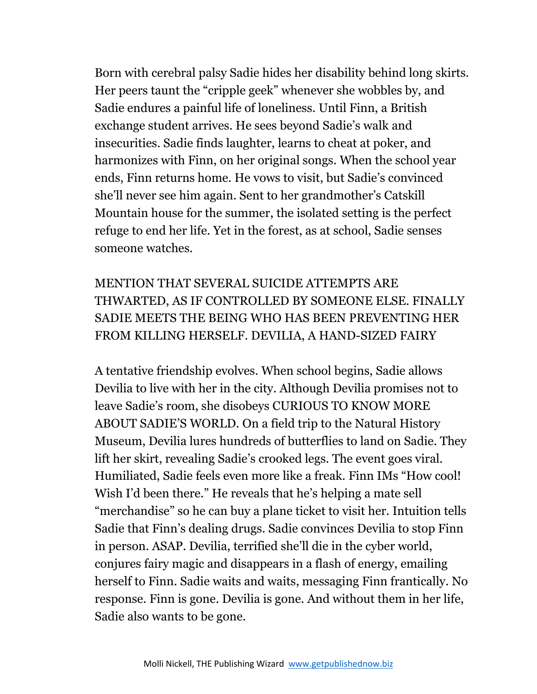Born with cerebral palsy Sadie hides her disability behind long skirts. Her peers taunt the "cripple geek" whenever she wobbles by, and Sadie endures a painful life of loneliness. Until Finn, a British exchange student arrives. He sees beyond Sadie's walk and insecurities. Sadie finds laughter, learns to cheat at poker, and harmonizes with Finn, on her original songs. When the school year ends, Finn returns home. He vows to visit, but Sadie's convinced she'll never see him again. Sent to her grandmother's Catskill Mountain house for the summer, the isolated setting is the perfect refuge to end her life. Yet in the forest, as at school, Sadie senses someone watches.

# MENTION THAT SEVERAL SUICIDE ATTEMPTS ARE THWARTED, AS IF CONTROLLED BY SOMEONE ELSE. FINALLY SADIE MEETS THE BEING WHO HAS BEEN PREVENTING HER FROM KILLING HERSELF. DEVILIA, A HAND-SIZED FAIRY

A tentative friendship evolves. When school begins, Sadie allows Devilia to live with her in the city. Although Devilia promises not to leave Sadie's room, she disobeys CURIOUS TO KNOW MORE ABOUT SADIE'S WORLD. On a field trip to the Natural History Museum, Devilia lures hundreds of butterflies to land on Sadie. They lift her skirt, revealing Sadie's crooked legs. The event goes viral. Humiliated, Sadie feels even more like a freak. Finn IMs "How cool! Wish I'd been there." He reveals that he's helping a mate sell "merchandise" so he can buy a plane ticket to visit her. Intuition tells Sadie that Finn's dealing drugs. Sadie convinces Devilia to stop Finn in person. ASAP. Devilia, terrified she'll die in the cyber world, conjures fairy magic and disappears in a flash of energy, emailing herself to Finn. Sadie waits and waits, messaging Finn frantically. No response. Finn is gone. Devilia is gone. And without them in her life, Sadie also wants to be gone.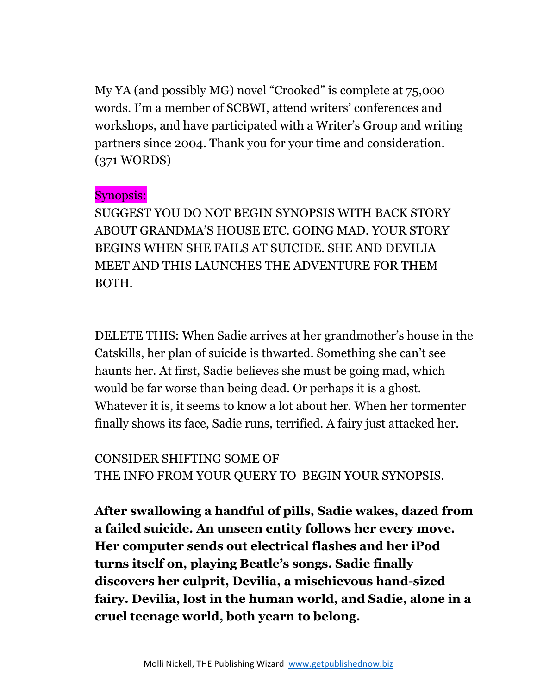My YA (and possibly MG) novel "Crooked" is complete at 75,000 words. I'm a member of SCBWI, attend writers' conferences and workshops, and have participated with a Writer's Group and writing partners since 2004. Thank you for your time and consideration. (371 WORDS)

#### Synopsis:

SUGGEST YOU DO NOT BEGIN SYNOPSIS WITH BACK STORY ABOUT GRANDMA'S HOUSE ETC. GOING MAD. YOUR STORY BEGINS WHEN SHE FAILS AT SUICIDE. SHE AND DEVILIA MEET AND THIS LAUNCHES THE ADVENTURE FOR THEM BOTH.

DELETE THIS: When Sadie arrives at her grandmother's house in the Catskills, her plan of suicide is thwarted. Something she can't see haunts her. At first, Sadie believes she must be going mad, which would be far worse than being dead. Or perhaps it is a ghost. Whatever it is, it seems to know a lot about her. When her tormenter finally shows its face, Sadie runs, terrified. A fairy just attacked her.

CONSIDER SHIFTING SOME OF THE INFO FROM YOUR QUERY TO BEGIN YOUR SYNOPSIS.

**After swallowing a handful of pills, Sadie wakes, dazed from a failed suicide. An unseen entity follows her every move. Her computer sends out electrical flashes and her iPod turns itself on, playing Beatle's songs. Sadie finally discovers her culprit, Devilia, a mischievous hand-sized fairy. Devilia, lost in the human world, and Sadie, alone in a cruel teenage world, both yearn to belong.**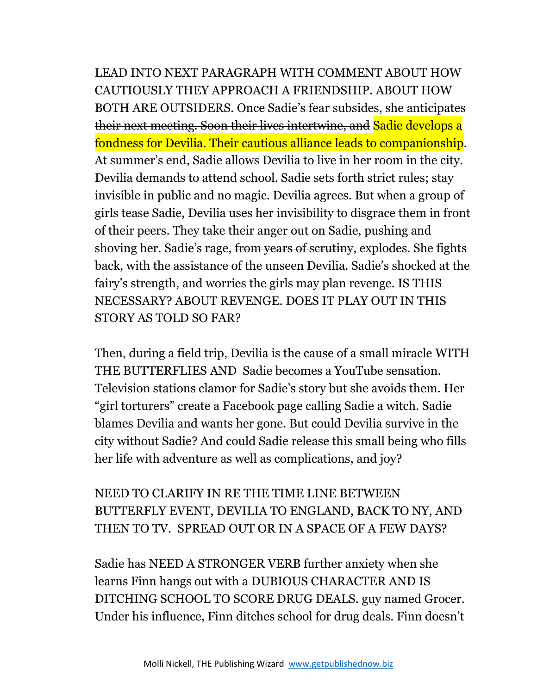LEAD INTO NEXT PARAGRAPH WITH COMMENT ABOUT HOW CAUTIOUSLY THEY APPROACH A FRIENDSHIP. ABOUT HOW BOTH ARE OUTSIDERS. Once Sadie's fear subsides, she anticipates their next meeting. Soon their lives intertwine, and Sadie develops a fondness for Devilia. Their cautious alliance leads to companionship. At summer's end, Sadie allows Devilia to live in her room in the city. Devilia demands to attend school. Sadie sets forth strict rules; stay invisible in public and no magic. Devilia agrees. But when a group of girls tease Sadie, Devilia uses her invisibility to disgrace them in front of their peers. They take their anger out on Sadie, pushing and shoving her. Sadie's rage, from years of scrutiny, explodes. She fights back, with the assistance of the unseen Devilia. Sadie's shocked at the fairy's strength, and worries the girls may plan revenge. IS THIS NECESSARY? ABOUT REVENGE. DOES IT PLAY OUT IN THIS STORY AS TOLD SO FAR?

Then, during a field trip, Devilia is the cause of a small miracle WITH THE BUTTERFLIES AND Sadie becomes a YouTube sensation. Television stations clamor for Sadie's story but she avoids them. Her "girl torturers" create a Facebook page calling Sadie a witch. Sadie blames Devilia and wants her gone. But could Devilia survive in the city without Sadie? And could Sadie release this small being who fills her life with adventure as well as complications, and joy?

# NEED TO CLARIFY IN RE THE TIME LINE BETWEEN BUTTERFLY EVENT, DEVILIA TO ENGLAND, BACK TO NY, AND THEN TO TV. SPREAD OUT OR IN A SPACE OF A FEW DAYS?

Sadie has NEED A STRONGER VERB further anxiety when she learns Finn hangs out with a DUBIOUS CHARACTER AND IS DITCHING SCHOOL TO SCORE DRUG DEALS. guy named Grocer. Under his influence, Finn ditches school for drug deals. Finn doesn't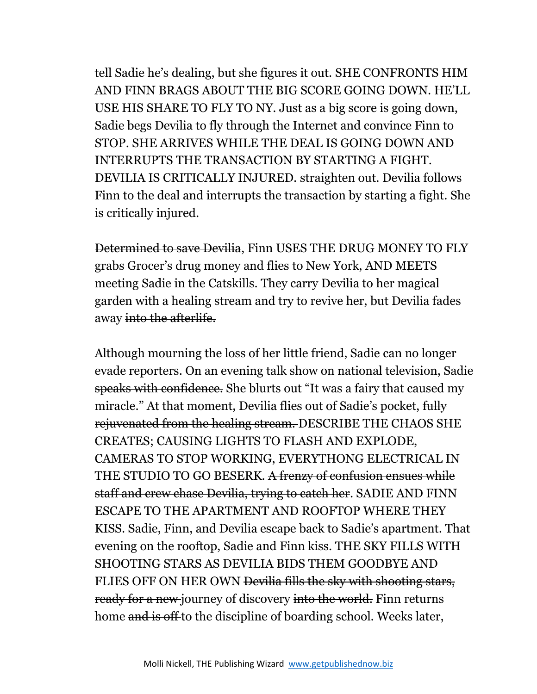tell Sadie he's dealing, but she figures it out. SHE CONFRONTS HIM AND FINN BRAGS ABOUT THE BIG SCORE GOING DOWN. HE'LL USE HIS SHARE TO FLY TO NY. Just as a big score is going down, Sadie begs Devilia to fly through the Internet and convince Finn to STOP. SHE ARRIVES WHILE THE DEAL IS GOING DOWN AND INTERRUPTS THE TRANSACTION BY STARTING A FIGHT. DEVILIA IS CRITICALLY INJURED. straighten out. Devilia follows Finn to the deal and interrupts the transaction by starting a fight. She is critically injured.

Determined to save Devilia, Finn USES THE DRUG MONEY TO FLY grabs Grocer's drug money and flies to New York, AND MEETS meeting Sadie in the Catskills. They carry Devilia to her magical garden with a healing stream and try to revive her, but Devilia fades away into the afterlife.

Although mourning the loss of her little friend, Sadie can no longer evade reporters. On an evening talk show on national television, Sadie speaks with confidence. She blurts out "It was a fairy that caused my miracle." At that moment, Devilia flies out of Sadie's pocket, fully rejuvenated from the healing stream. DESCRIBE THE CHAOS SHE CREATES; CAUSING LIGHTS TO FLASH AND EXPLODE, CAMERAS TO STOP WORKING, EVERYTHONG ELECTRICAL IN THE STUDIO TO GO BESERK. A frenzy of confusion ensues while staff and crew chase Devilia, trying to catch her. SADIE AND FINN ESCAPE TO THE APARTMENT AND ROOFTOP WHERE THEY KISS. Sadie, Finn, and Devilia escape back to Sadie's apartment. That evening on the rooftop, Sadie and Finn kiss. THE SKY FILLS WITH SHOOTING STARS AS DEVILIA BIDS THEM GOODBYE AND FLIES OFF ON HER OWN Devilia fills the sky with shooting stars, ready for a new journey of discovery into the world. Finn returns home and is off to the discipline of boarding school. Weeks later,